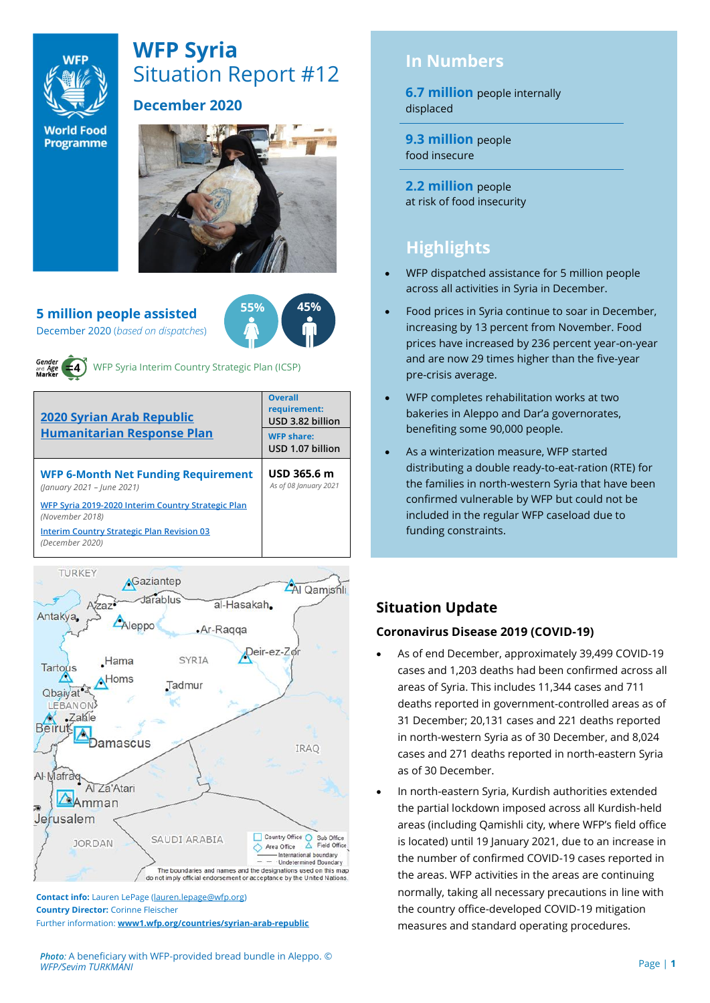

# **WFP Syria** Situation Report #12

# **December 2020**

**World Food Programme** 



**5 million people assisted**  December 2020 (*based on dispatches*)





WFP Syria Interim Country Strategic Plan (ICSP)

| <b>Overall</b><br>requirement:<br>USD 3.82 billion |
|----------------------------------------------------|
| <b>WFP share:</b><br>USD 1.07 billion              |
| USD 365.6 m<br>As of 08 January 2021               |
|                                                    |
|                                                    |
|                                                    |



**Contact info:** Lauren LePage [\(lauren.lepage@wfp.org\)](mailto:lauren.lepage@wfp.org) **Country Director:** Corinne Fleischer Further information: **[www1.wfp.org/countries/syrian-arab-republic](file:///C:/Users/lauren.lepage/AppData/Local/Microsoft/Windows/INetCache/Content.Outlook/HTRVWXQN/www1.wfp.org/countries/syrian-arab-republic)**

#### *Photo:* A beneficiary with WFP-provided bread bundle in Aleppo. © *WFP/Sevim TURKMANI*

# **In Numbers**

**6.7 million** people internally displaced

**9.3 million** people food insecure

**2.2 million** people at risk of food insecurity

# **Highlights**

- WFP dispatched assistance for 5 million people across all activities in Syria in December.
- Food prices in Syria continue to soar in December, increasing by 13 percent from November. Food prices have increased by 236 percent year-on-year and are now 29 times higher than the five-year pre-crisis average.
- WFP completes rehabilitation works at two bakeries in Aleppo and Dar'a governorates, benefiting some 90,000 people.
- As a winterization measure, WFP started distributing a double ready-to-eat-ration (RTE) for the families in north-western Syria that have been confirmed vulnerable by WFP but could not be included in the regular WFP caseload due to funding constraints.

# **Situation Update**

## **Coronavirus Disease 2019 (COVID-19)**

- As of end December, approximately 39,499 COVID-19 cases and 1,203 deaths had been confirmed across all areas of Syria. This includes 11,344 cases and 711 deaths reported in government-controlled areas as of 31 December; 20,131 cases and 221 deaths reported in north-western Syria as of 30 December, and 8,024 cases and 271 deaths reported in north-eastern Syria as of 30 December.
- In north-eastern Syria, Kurdish authorities extended the partial lockdown imposed across all Kurdish-held areas (including Qamishli city, where WFP's field office is located) until 19 January 2021, due to an increase in the number of confirmed COVID-19 cases reported in the areas. WFP activities in the areas are continuing normally, taking all necessary precautions in line with the country office-developed COVID-19 mitigation measures and standard operating procedures.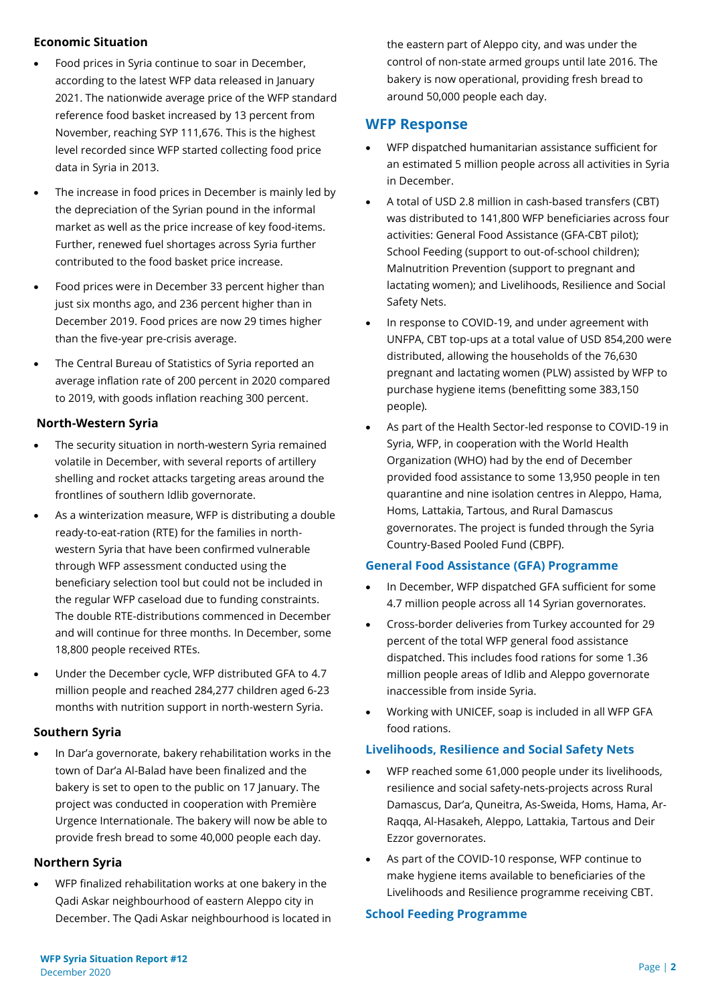#### **Economic Situation**

- Food prices in Syria continue to soar in December, according to the latest WFP data released in January 2021. The nationwide average price of the WFP standard reference food basket increased by 13 percent from November, reaching SYP 111,676. This is the highest level recorded since WFP started collecting food price data in Syria in 2013.
- The increase in food prices in December is mainly led by the depreciation of the Syrian pound in the informal market as well as the price increase of key food-items. Further, renewed fuel shortages across Syria further contributed to the food basket price increase.
- Food prices were in December 33 percent higher than just six months ago, and 236 percent higher than in December 2019. Food prices are now 29 times higher than the five-year pre-crisis average.
- The Central Bureau of Statistics of Syria reported an average inflation rate of 200 percent in 2020 compared to 2019, with goods inflation reaching 300 percent.

#### **North-Western Syria**

- The security situation in north-western Syria remained volatile in December, with several reports of artillery shelling and rocket attacks targeting areas around the frontlines of southern Idlib governorate.
- As a winterization measure, WFP is distributing a double ready-to-eat-ration (RTE) for the families in northwestern Syria that have been confirmed vulnerable through WFP assessment conducted using the beneficiary selection tool but could not be included in the regular WFP caseload due to funding constraints. The double RTE-distributions commenced in December and will continue for three months. In December, some 18,800 people received RTEs.
- Under the December cycle, WFP distributed GFA to 4.7 million people and reached 284,277 children aged 6-23 months with nutrition support in north-western Syria.

## **Southern Syria**

• In Dar'a governorate, bakery rehabilitation works in the town of Dar'a Al-Balad have been finalized and the bakery is set to open to the public on 17 January. The project was conducted in cooperation with Première Urgence Internationale. The bakery will now be able to provide fresh bread to some 40,000 people each day.

#### **Northern Syria**

• WFP finalized rehabilitation works at one bakery in the Qadi Askar neighbourhood of eastern Aleppo city in December. The Qadi Askar neighbourhood is located in the eastern part of Aleppo city, and was under the control of non-state armed groups until late 2016. The bakery is now operational, providing fresh bread to around 50,000 people each day.

## **WFP Response**

- WFP dispatched humanitarian assistance sufficient for an estimated 5 million people across all activities in Syria in December.
- A total of USD 2.8 million in cash-based transfers (CBT) was distributed to 141,800 WFP beneficiaries across four activities: General Food Assistance (GFA-CBT pilot); School Feeding (support to out-of-school children); Malnutrition Prevention (support to pregnant and lactating women); and Livelihoods, Resilience and Social Safety Nets.
- In response to COVID-19, and under agreement with UNFPA, CBT top-ups at a total value of USD 854,200 were distributed, allowing the households of the 76,630 pregnant and lactating women (PLW) assisted by WFP to purchase hygiene items (benefitting some 383,150 people).
- As part of the Health Sector-led response to COVID-19 in Syria, WFP, in cooperation with the World Health Organization (WHO) had by the end of December provided food assistance to some 13,950 people in ten quarantine and nine isolation centres in Aleppo, Hama, Homs, Lattakia, Tartous, and Rural Damascus governorates. The project is funded through the Syria Country-Based Pooled Fund (CBPF).

#### **General Food Assistance (GFA) Programme**

- In December, WFP dispatched GFA sufficient for some 4.7 million people across all 14 Syrian governorates.
- Cross-border deliveries from Turkey accounted for 29 percent of the total WFP general food assistance dispatched. This includes food rations for some 1.36 million people areas of Idlib and Aleppo governorate inaccessible from inside Syria.
- Working with UNICEF, soap is included in all WFP GFA food rations.

#### **Livelihoods, Resilience and Social Safety Nets**

- WFP reached some 61,000 people under its livelihoods, resilience and social safety-nets-projects across Rural Damascus, Dar'a, Quneitra, As-Sweida, Homs, Hama, Ar-Raqqa, Al-Hasakeh, Aleppo, Lattakia, Tartous and Deir Ezzor governorates.
- As part of the COVID-10 response, WFP continue to make hygiene items available to beneficiaries of the Livelihoods and Resilience programme receiving CBT.

#### **School Feeding Programme**